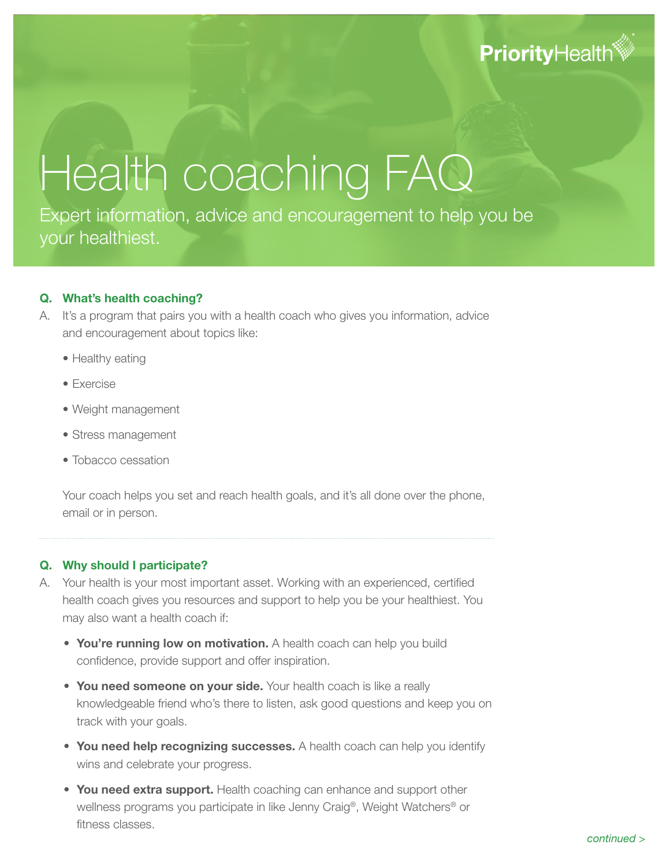# **PriorityHealth®**

# Health coaching FAQ

Expert information, advice and encouragement to help you be your healthiest.

#### **Q. What's health coaching?**

- A. It's a program that pairs you with a health coach who gives you information, advice and encouragement about topics like:
	- Healthy eating
	- Exercise
	- Weight management
	- Stress management
	- Tobacco cessation

Your coach helps you set and reach health goals, and it's all done over the phone, email or in person.

#### **Q. Why should I participate?**

- A. Your health is your most important asset. Working with an experienced, certified health coach gives you resources and support to help you be your healthiest. You may also want a health coach if:
	- **You're running low on motivation.** A health coach can help you build confidence, provide support and offer inspiration.
	- **You need someone on your side.** Your health coach is like a really knowledgeable friend who's there to listen, ask good questions and keep you on track with your goals.
	- **You need help recognizing successes.** A health coach can help you identify wins and celebrate your progress.
	- **You need extra support.** Health coaching can enhance and support other wellness programs you participate in like Jenny Craig®, Weight Watchers® or fitness classes.